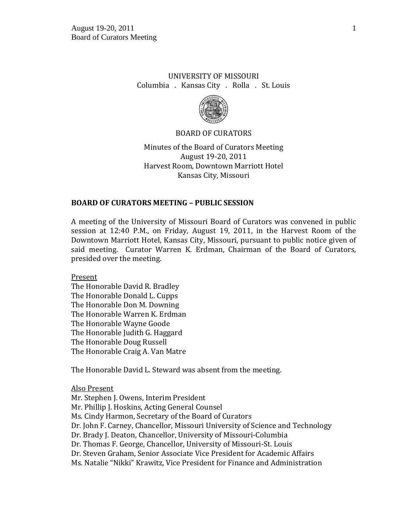# UNIVERSITY OF MISSOURI Columbia . Kansas City . Rolla . St. Louis



### BOARD OF CURATORS

Minutes of the Board of Curators Meeting August 19-20, 2011 Harvest Room, Downtown Marriott Hotel Kansas City, Missouri

## **BOARD OF CURATORS MEETING – PUBLIC SESSION**

A meeting of the University of Missouri Board of Curators was convened in public session at 12:40 P.M., on Friday, August 19, 2011, in the Harvest Room of the Downtown Marriott Hotel, Kansas City, Missouri, pursuant to public notice given of said meeting. Curator Warren K. Erdman, Chairman of the Board of Curators, presided over the meeting.

Present

The Honorable David R. Bradley The Honorable Donald L. Cupps The Honorable Don M. Downing The Honorable Warren K. Erdman The Honorable Wayne Goode The Honorable Judith G. Haggard The Honorable Doug Russell The Honorable Craig A. Van Matre

The Honorable David L. Steward was absent from the meeting.

#### Also Present

Mr. Stephen J. Owens, Interim President Mr. Phillip J. Hoskins, Acting General Counsel Ms. Cindy Harmon, Secretary of the Board of Curators Dr. John F. Carney, Chancellor, Missouri University of Science and Technology Dr. Brady J. Deaton, Chancellor, University of Missouri-Columbia Dr. Thomas F. George, Chancellor, University of Missouri-St. Louis Dr. Steven Graham, Senior Associate Vice President for Academic Affairs Ms. Natalie "Nikki" Krawitz, Vice President for Finance and Administration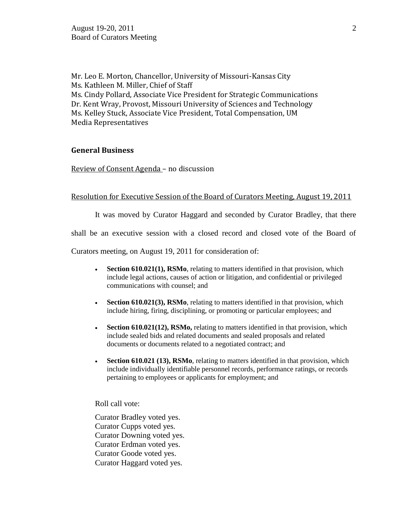Mr. Leo E. Morton, Chancellor, University of Missouri-Kansas City Ms. Kathleen M. Miller, Chief of Staff Ms. Cindy Pollard, Associate Vice President for Strategic Communications Dr. Kent Wray, Provost, Missouri University of Sciences and Technology Ms. Kelley Stuck, Associate Vice President, Total Compensation, UM Media Representatives

### **General Business**

Review of Consent Agenda – no discussion

# Resolution for Executive Session of the Board of Curators Meeting, August 19, 2011

It was moved by Curator Haggard and seconded by Curator Bradley, that there

shall be an executive session with a closed record and closed vote of the Board of

Curators meeting, on August 19, 2011 for consideration of:

- **Section 610.021(1), RSMo**, relating to matters identified in that provision, which include legal actions, causes of action or litigation, and confidential or privileged communications with counsel; and
- **Section 610.021(3), RSMo**, relating to matters identified in that provision, which include hiring, firing, disciplining, or promoting or particular employees; and
- **Section 610.021(12), RSMo,** relating to matters identified in that provision, which include sealed bids and related documents and sealed proposals and related documents or documents related to a negotiated contract; and
- **Section 610.021 (13), RSMo**, relating to matters identified in that provision, which include individually identifiable personnel records, performance ratings, or records pertaining to employees or applicants for employment; and

Roll call vote:

Curator Bradley voted yes. Curator Cupps voted yes. Curator Downing voted yes. Curator Erdman voted yes. Curator Goode voted yes. Curator Haggard voted yes.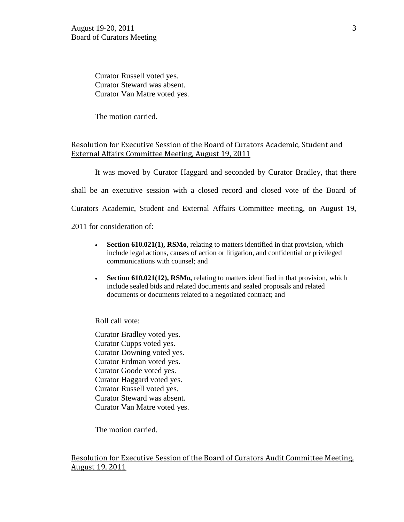Curator Russell voted yes. Curator Steward was absent. Curator Van Matre voted yes.

The motion carried.

# Resolution for Executive Session of the Board of Curators Academic, Student and External Affairs Committee Meeting, August 19, 2011

It was moved by Curator Haggard and seconded by Curator Bradley, that there shall be an executive session with a closed record and closed vote of the Board of Curators Academic, Student and External Affairs Committee meeting, on August 19, 2011 for consideration of:

- **Section 610.021(1), RSMo**, relating to matters identified in that provision, which include legal actions, causes of action or litigation, and confidential or privileged communications with counsel; and
- **Section 610.021(12), RSMo,** relating to matters identified in that provision, which include sealed bids and related documents and sealed proposals and related documents or documents related to a negotiated contract; and

Roll call vote:

Curator Bradley voted yes. Curator Cupps voted yes. Curator Downing voted yes. Curator Erdman voted yes. Curator Goode voted yes. Curator Haggard voted yes. Curator Russell voted yes. Curator Steward was absent. Curator Van Matre voted yes.

The motion carried.

Resolution for Executive Session of the Board of Curators Audit Committee Meeting, August 19, 2011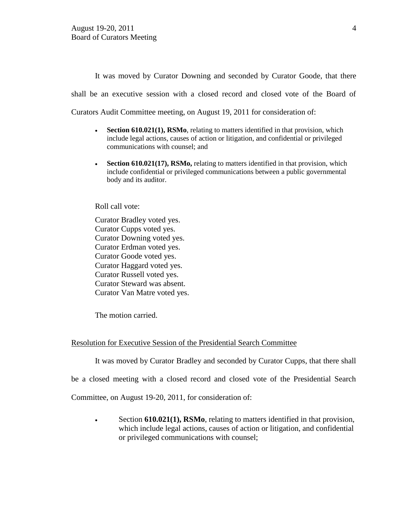It was moved by Curator Downing and seconded by Curator Goode, that there shall be an executive session with a closed record and closed vote of the Board of Curators Audit Committee meeting, on August 19, 2011 for consideration of:

- **Section 610.021(1), RSMo**, relating to matters identified in that provision, which include legal actions, causes of action or litigation, and confidential or privileged communications with counsel; and
- Section 610.021(17), RSMo, relating to matters identified in that provision, which include confidential or privileged communications between a public governmental body and its auditor.

Roll call vote:

Curator Bradley voted yes. Curator Cupps voted yes. Curator Downing voted yes. Curator Erdman voted yes. Curator Goode voted yes. Curator Haggard voted yes. Curator Russell voted yes. Curator Steward was absent. Curator Van Matre voted yes.

The motion carried.

#### Resolution for Executive Session of the Presidential Search Committee

It was moved by Curator Bradley and seconded by Curator Cupps, that there shall

be a closed meeting with a closed record and closed vote of the Presidential Search

Committee, on August 19-20, 2011, for consideration of:

Section **610.021(1), RSMo**, relating to matters identified in that provision, which include legal actions, causes of action or litigation, and confidential or privileged communications with counsel;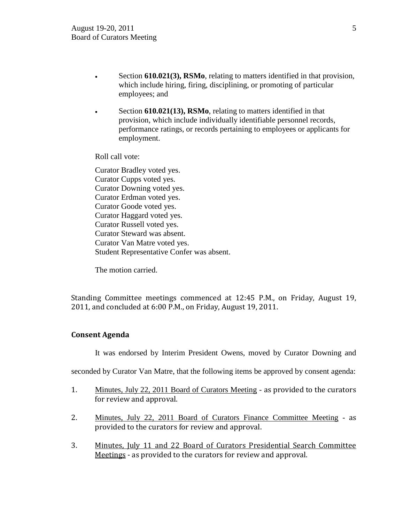- Section **610.021(3), RSMo**, relating to matters identified in that provision, which include hiring, firing, disciplining, or promoting of particular employees; and
- Section **610.021(13), RSMo**, relating to matters identified in that provision, which include individually identifiable personnel records, performance ratings, or records pertaining to employees or applicants for employment.

Roll call vote:

Curator Bradley voted yes. Curator Cupps voted yes. Curator Downing voted yes. Curator Erdman voted yes. Curator Goode voted yes. Curator Haggard voted yes. Curator Russell voted yes. Curator Steward was absent. Curator Van Matre voted yes. Student Representative Confer was absent.

The motion carried.

Standing Committee meetings commenced at 12:45 P.M., on Friday, August 19, 2011, and concluded at 6:00 P.M., on Friday, August 19, 2011.

## **Consent Agenda**

It was endorsed by Interim President Owens, moved by Curator Downing and

seconded by Curator Van Matre, that the following items be approved by consent agenda:

- 1. Minutes, July 22, 2011 Board of Curators Meeting as provided to the curators for review and approval.
- 2. Minutes, July 22, 2011 Board of Curators Finance Committee Meeting as provided to the curators for review and approval.
- 3. Minutes, July 11 and 22 Board of Curators Presidential Search Committee Meetings - as provided to the curators for review and approval.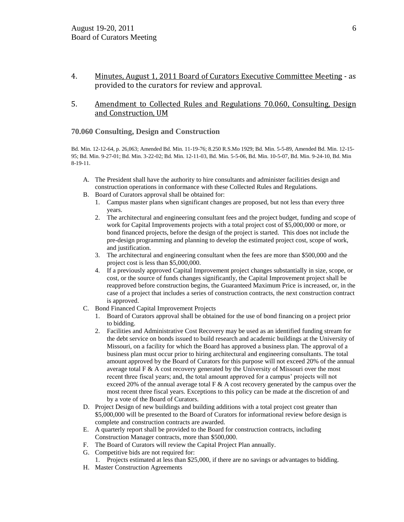- 4. Minutes, August 1, 2011 Board of Curators Executive Committee Meeting as provided to the curators for review and approval.
- 5. Amendment to Collected Rules and Regulations 70.060, Consulting, Design and Construction, UM

#### **70.060 Consulting, Design and Construction**

Bd. Min. 12-12-64, p. 26,063; Amended Bd. Min. 11-19-76; 8.250 R.S.Mo 1929; Bd. Min. 5-5-89, Amended Bd. Min. 12-15- 95; Bd. Min. 9-27-01; Bd. Min. 3-22-02; Bd. Min. 12-11-03, Bd. Min. 5-5-06, Bd. Min. 10-5-07, Bd. Min. 9-24-10, Bd. Min 8-19-11.

- A. The President shall have the authority to hire consultants and administer facilities design and construction operations in conformance with these Collected Rules and Regulations.
- B. Board of Curators approval shall be obtained for:
	- 1. Campus master plans when significant changes are proposed, but not less than every three years.
	- 2. The architectural and engineering consultant fees and the project budget, funding and scope of work for Capital Improvements projects with a total project cost of \$5,000,000 or more, or bond financed projects, before the design of the project is started. This does not include the pre-design programming and planning to develop the estimated project cost, scope of work, and justification.
	- 3. The architectural and engineering consultant when the fees are more than \$500,000 and the project cost is less than \$5,000,000.
	- 4. If a previously approved Capital Improvement project changes substantially in size, scope, or cost, or the source of funds changes significantly, the Capital Improvement project shall be reapproved before construction begins, the Guaranteed Maximum Price is increased, or, in the case of a project that includes a series of construction contracts, the next construction contract is approved.
- C. Bond Financed Capital Improvement Projects
	- 1. Board of Curators approval shall be obtained for the use of bond financing on a project prior to bidding.
	- 2. Facilities and Administrative Cost Recovery may be used as an identified funding stream for the debt service on bonds issued to build research and academic buildings at the University of Missouri, on a facility for which the Board has approved a business plan. The approval of a business plan must occur prior to hiring architectural and engineering consultants. The total amount approved by the Board of Curators for this purpose will not exceed 20% of the annual average total  $F \& A$  cost recovery generated by the University of Missouri over the most recent three fiscal years; and, the total amount approved for a campus' projects will not exceed 20% of the annual average total  $F \& A$  cost recovery generated by the campus over the most recent three fiscal years. Exceptions to this policy can be made at the discretion of and by a vote of the Board of Curators.
- D. Project Design of new buildings and building additions with a total project cost greater than \$5,000,000 will be presented to the Board of Curators for informational review before design is complete and construction contracts are awarded.
- E. A quarterly report shall be provided to the Board for construction contracts, including Construction Manager contracts, more than \$500,000.
- F. The Board of Curators will review the Capital Project Plan annually.
- G. Competitive bids are not required for:
	- 1. Projects estimated at less than \$25,000, if there are no savings or advantages to bidding.
- H. Master Construction Agreements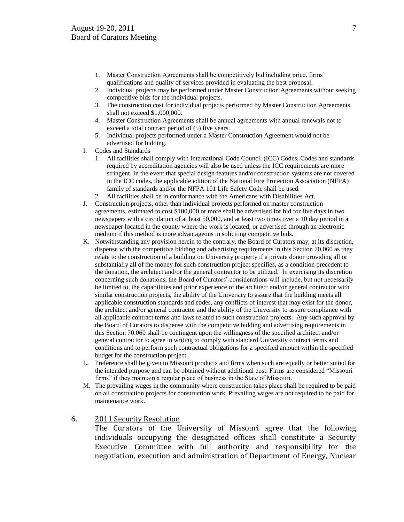- 1. Master Construction Agreements shall be competitively bid including price, firms" qualifications and quality of services provided in evaluating the best proposal.
- 2. Individual projects may be performed under Master Construction Agreements without seeking competitive bids for the individual projects.
- 3. The construction cost for individual projects performed by Master Construction Agreements shall not exceed \$1,000,000.
- 4. Master Construction Agreements shall be annual agreements with annual renewals not to exceed a total contract period of (5) five years.
- 5. Individual projects performed under a Master Construction Agreement would not be advertised for bidding.
- I. Codes and Standards
	- 1. All facilities shall comply with International Code Council (ICC) Codes. Codes and standards required by accreditation agencies will also be used unless the ICC requirements are more stringent. In the event that special design features and/or construction systems are not covered in the ICC codes, the applicable edition of the National Fire Protection Association (NFPA) family of standards and/or the NFPA 101 Life Safety Code shall be used.
	- 2. All facilities shall be in conformance with the Americans with Disabilities Act.
- J. Construction projects, other than individual projects performed on master construction agreements, estimated to cost \$100,000 or more shall be advertised for bid for five days in two newspapers with a circulation of at least 50,000, and at least two times over a 10 day period in a newspaper located in the county where the work is located, or advertised through an electronic medium if this method is more advantageous in soliciting competitive bids.
- K. Notwithstanding any provision herein to the contrary, the Board of Curators may, at its discretion, dispense with the competitive bidding and advertising requirements in this Section 70.060 as they relate to the construction of a building on University property if a private donor providing all or substantially all of the money for such construction project specifies, as a condition precedent to the donation, the architect and/or the general contractor to be utilized. In exercising its discretion concerning such donations, the Board of Curators" considerations will include, but not necessarily be limited to, the capabilities and prior experience of the architect and/or general contractor with similar construction projects, the ability of the University to assure that the building meets all applicable construction standards and codes, any conflicts of interest that may exist for the donor, the architect and/or general contractor and the ability of the University to assure compliance with all applicable contract terms and laws related to such construction projects. Any such approval by the Board of Curators to dispense with the competitive bidding and advertising requirements in this Section 70.060 shall be contingent upon the willingness of the specified architect and/or general contractor to agree in writing to comply with standard University contract terms and conditions and to perform such contractual obligations for a specified amount within the specified budget for the construction project.
- L. Preference shall be given to Missouri products and firms when such are equally or better suited for the intended purpose and can be obtained without additional cost. Firms are considered "Missouri firms" if they maintain a regular place of business in the State of Missouri.
- M. The prevailing wages in the community where construction takes place shall be required to be paid on all construction projects for construction work. Prevailing wages are not required to be paid for maintenance work.

### 6. 2011 Security Resolution

The Curators of the University of Missouri agree that the following individuals occupying the designated offices shall constitute a Security Executive Committee with full authority and responsibility for the negotiation, execution and administration of Department of Energy, Nuclear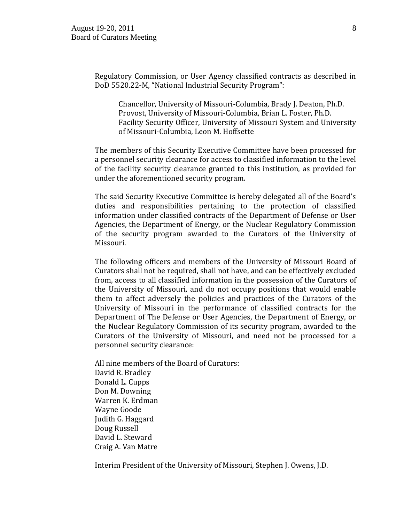Regulatory Commission, or User Agency classified contracts as described in DoD 5520.22-M, "National Industrial Security Program":

Chancellor, University of Missouri-Columbia, Brady J. Deaton, Ph.D. Provost, University of Missouri-Columbia, Brian L. Foster, Ph.D. Facility Security Officer, University of Missouri System and University of Missouri-Columbia, Leon M. Hoffsette

The members of this Security Executive Committee have been processed for a personnel security clearance for access to classified information to the level of the facility security clearance granted to this institution, as provided for under the aforementioned security program.

The said Security Executive Committee is hereby delegated all of the Board's duties and responsibilities pertaining to the protection of classified information under classified contracts of the Department of Defense or User Agencies, the Department of Energy, or the Nuclear Regulatory Commission of the security program awarded to the Curators of the University of Missouri.

The following officers and members of the University of Missouri Board of Curators shall not be required, shall not have, and can be effectively excluded from, access to all classified information in the possession of the Curators of the University of Missouri, and do not occupy positions that would enable them to affect adversely the policies and practices of the Curators of the University of Missouri in the performance of classified contracts for the Department of The Defense or User Agencies, the Department of Energy, or the Nuclear Regulatory Commission of its security program, awarded to the Curators of the University of Missouri, and need not be processed for a personnel security clearance:

All nine members of the Board of Curators: [David R. Bradley](http://www.umsystem.edu/curators/members/bradleyd) [Donald L. Cupps](http://www.umsystem.edu/curators/members/cuppsd) [Don M. Downing](http://www.umsystem.edu/curators/members/downingd) [Warren K. Erdman](http://www.umsystem.edu/curators/members/erdmanw) [Wayne Goode](http://www.umsystem.edu/curators/members/goodew) [Judith G. Haggard](http://www.umsystem.edu/curators/members/haggardj) [Doug Russell](http://www.umsystem.edu/curators/members/russelld) [David L. Steward](http://www.umsystem.edu/curators/members/stewardd) [Craig A. Van Matre](http://www.umsystem.edu/curators/members/vanmatrec)

Interim President of the University of Missouri, Stephen J. Owens, J.D.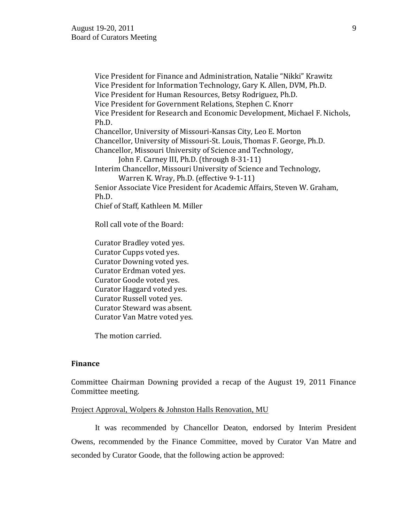Vice President for Finance and Administration, Natalie "Nikki" Krawitz Vice President for Information Technology, Gary K. Allen, DVM, Ph.D. Vice President for Human Resources, Betsy Rodriguez, Ph.D. Vice President for Government Relations, Stephen C. Knorr Vice President for Research and Economic Development, Michael F. Nichols, Ph.D. Chancellor, University of Missouri-Kansas City, Leo E. Morton Chancellor, University of Missouri-St. Louis, Thomas F. George, Ph.D. Chancellor, Missouri University of Science and Technology, John F. Carney III, Ph.D. (through 8-31-11) Interim Chancellor, Missouri University of Science and Technology, Warren K. Wray, Ph.D. (effective 9-1-11) Senior Associate Vice President for Academic Affairs, Steven W. Graham, Ph.D. Chief of Staff, Kathleen M. Miller Roll call vote of the Board: Curator Bradley voted yes. Curator Cupps voted yes. Curator Downing voted yes.

Curator Erdman voted yes. Curator Goode voted yes. Curator Haggard voted yes. Curator Russell voted yes. Curator Steward was absent. Curator Van Matre voted yes.

The motion carried.

### **Finance**

Committee Chairman Downing provided a recap of the August 19, 2011 Finance Committee meeting.

## Project Approval, Wolpers & Johnston Halls Renovation, MU

It was recommended by Chancellor Deaton, endorsed by Interim President Owens, recommended by the Finance Committee, moved by Curator Van Matre and seconded by Curator Goode, that the following action be approved: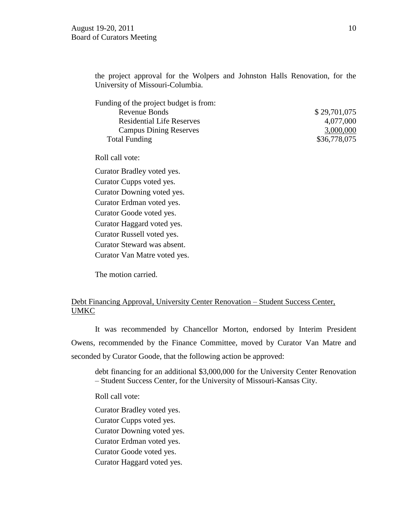the project approval for the Wolpers and Johnston Halls Renovation, for the University of Missouri-Columbia.

| \$29,701,075 |
|--------------|
| 4,077,000    |
| 3,000,000    |
| \$36,778,075 |
|              |

Roll call vote:

Curator Bradley voted yes. Curator Cupps voted yes. Curator Downing voted yes. Curator Erdman voted yes. Curator Goode voted yes. Curator Haggard voted yes. Curator Russell voted yes. Curator Steward was absent. Curator Van Matre voted yes.

The motion carried.

# Debt Financing Approval, University Center Renovation – Student Success Center, UMKC

It was recommended by Chancellor Morton, endorsed by Interim President Owens, recommended by the Finance Committee, moved by Curator Van Matre and seconded by Curator Goode, that the following action be approved:

debt financing for an additional \$3,000,000 for the University Center Renovation – Student Success Center, for the University of Missouri-Kansas City.

Roll call vote:

Curator Bradley voted yes. Curator Cupps voted yes. Curator Downing voted yes. Curator Erdman voted yes. Curator Goode voted yes. Curator Haggard voted yes.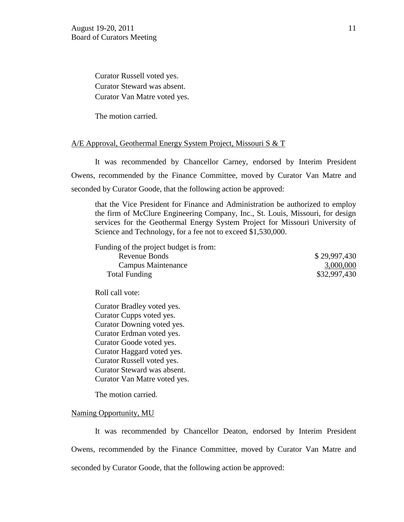Curator Russell voted yes. Curator Steward was absent. Curator Van Matre voted yes.

The motion carried.

#### A/E Approval, Geothermal Energy System Project, Missouri S & T

It was recommended by Chancellor Carney, endorsed by Interim President Owens, recommended by the Finance Committee, moved by Curator Van Matre and seconded by Curator Goode, that the following action be approved:

that the Vice President for Finance and Administration be authorized to employ the firm of McClure Engineering Company, Inc., St. Louis, Missouri, for design services for the Geothermal Energy System Project for Missouri University of Science and Technology, for a fee not to exceed \$1,530,000.

Funding of the project budget is from:

Revenue Bonds \$ 29,997,430 Campus Maintenance 3,000,000 Total Funding \$32,997,430

Roll call vote:

Curator Bradley voted yes. Curator Cupps voted yes. Curator Downing voted yes. Curator Erdman voted yes. Curator Goode voted yes. Curator Haggard voted yes. Curator Russell voted yes. Curator Steward was absent. Curator Van Matre voted yes.

The motion carried.

### Naming Opportunity, MU

It was recommended by Chancellor Deaton, endorsed by Interim President Owens, recommended by the Finance Committee, moved by Curator Van Matre and seconded by Curator Goode, that the following action be approved: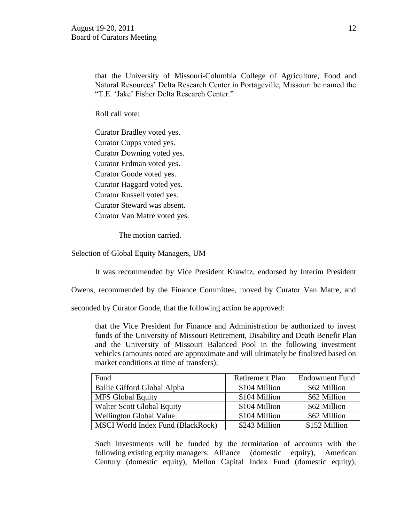that the University of Missouri-Columbia College of Agriculture, Food and Natural Resources" Delta Research Center in Portageville, Missouri be named the "T.E. "Jake" Fisher Delta Research Center."

Roll call vote:

Curator Bradley voted yes. Curator Cupps voted yes. Curator Downing voted yes. Curator Erdman voted yes. Curator Goode voted yes. Curator Haggard voted yes. Curator Russell voted yes. Curator Steward was absent. Curator Van Matre voted yes.

The motion carried.

#### Selection of Global Equity Managers, UM

It was recommended by Vice President Krawitz, endorsed by Interim President

Owens, recommended by the Finance Committee, moved by Curator Van Matre, and

seconded by Curator Goode, that the following action be approved:

that the Vice President for Finance and Administration be authorized to invest funds of the University of Missouri Retirement, Disability and Death Benefit Plan and the University of Missouri Balanced Pool in the following investment vehicles (amounts noted are approximate and will ultimately be finalized based on market conditions at time of transfers):

| Fund                              | <b>Retirement Plan</b> | <b>Endowment Fund</b> |
|-----------------------------------|------------------------|-----------------------|
| Ballie Gifford Global Alpha       | \$104 Million          | \$62 Million          |
| <b>MFS Global Equity</b>          | \$104 Million          | \$62 Million          |
| <b>Walter Scott Global Equity</b> | \$104 Million          | \$62 Million          |
| <b>Wellington Global Value</b>    | \$104 Million          | \$62 Million          |
| MSCI World Index Fund (BlackRock) | \$243 Million          | \$152 Million         |

Such investments will be funded by the termination of accounts with the following existing equity managers: Alliance (domestic equity), American Century (domestic equity), Mellon Capital Index Fund (domestic equity),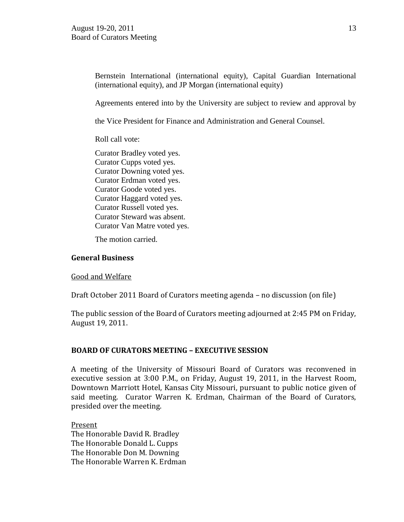Bernstein International (international equity), Capital Guardian International (international equity), and JP Morgan (international equity)

Agreements entered into by the University are subject to review and approval by

the Vice President for Finance and Administration and General Counsel.

Roll call vote:

Curator Bradley voted yes. Curator Cupps voted yes. Curator Downing voted yes. Curator Erdman voted yes. Curator Goode voted yes. Curator Haggard voted yes. Curator Russell voted yes. Curator Steward was absent. Curator Van Matre voted yes.

The motion carried.

## **General Business**

Good and Welfare

Draft October 2011 Board of Curators meeting agenda – no discussion (on file)

The public session of the Board of Curators meeting adjourned at 2:45 PM on Friday, August 19, 2011.

# **BOARD OF CURATORS MEETING – EXECUTIVE SESSION**

A meeting of the University of Missouri Board of Curators was reconvened in executive session at 3:00 P.M., on Friday, August 19, 2011, in the Harvest Room, Downtown Marriott Hotel, Kansas City Missouri, pursuant to public notice given of said meeting. Curator Warren K. Erdman, Chairman of the Board of Curators, presided over the meeting.

Present The Honorable David R. Bradley The Honorable Donald L. Cupps The Honorable Don M. Downing The Honorable Warren K. Erdman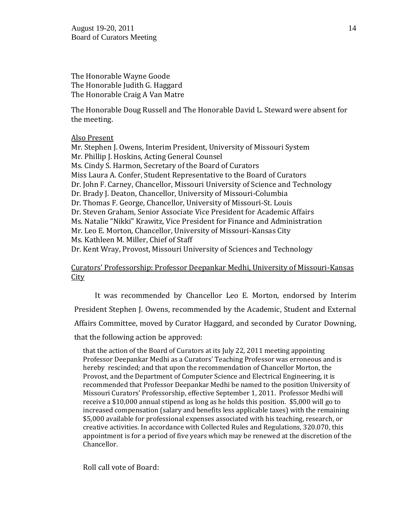The Honorable Wayne Goode The Honorable Judith G. Haggard The Honorable Craig A Van Matre

The Honorable Doug Russell and The Honorable David L. Steward were absent for the meeting.

### Also Present

Mr. Stephen J. Owens, Interim President, University of Missouri System Mr. Phillip J. Hoskins, Acting General Counsel Ms. Cindy S. Harmon, Secretary of the Board of Curators Miss Laura A. Confer, Student Representative to the Board of Curators Dr. John F. Carney, Chancellor, Missouri University of Science and Technology Dr. Brady J. Deaton, Chancellor, University of Missouri-Columbia Dr. Thomas F. George, Chancellor, University of Missouri-St. Louis Dr. Steven Graham, Senior Associate Vice President for Academic Affairs Ms. Natalie "Nikki" Krawitz, Vice President for Finance and Administration Mr. Leo E. Morton, Chancellor, University of Missouri-Kansas City Ms. Kathleen M. Miller, Chief of Staff Dr. Kent Wray, Provost, Missouri University of Sciences and Technology

Curators' Professorship: Professor Deepankar Medhi, University of Missouri-Kansas **City** 

It was recommended by Chancellor Leo E. Morton, endorsed by Interim President Stephen J. Owens, recommended by the Academic, Student and External Affairs Committee, moved by Curator Haggard, and seconded by Curator Downing, that the following action be approved:

that the action of the Board of Curators at its July 22, 2011 meeting appointing Professor Deepankar Medhi as a Curators' Teaching Professor was erroneous and is hereby rescinded; and that upon the recommendation of Chancellor Morton, the Provost, and the Department of Computer Science and Electrical Engineering, it is recommended that Professor Deepankar Medhi be named to the position University of Missouri Curators' Professorship, effective September 1, 2011. Professor Medhi will receive a \$10,000 annual stipend as long as he holds this position. \$5,000 will go to increased compensation (salary and benefits less applicable taxes) with the remaining \$5,000 available for professional expenses associated with his teaching, research, or creative activities. In accordance with Collected Rules and Regulations, 320.070, this appointment is for a period of five years which may be renewed at the discretion of the Chancellor.

Roll call vote of Board: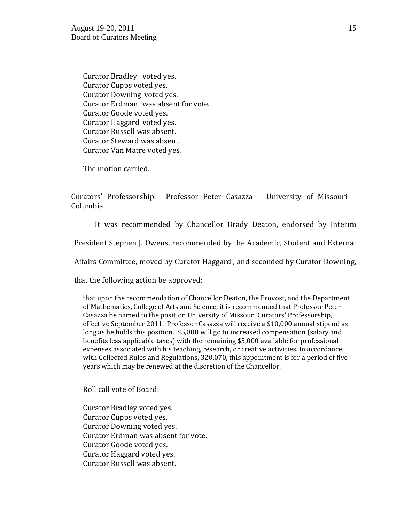Curator Bradley voted yes. Curator Cupps voted yes. Curator Downing voted yes. Curator Erdman was absent for vote. Curator Goode voted yes. Curator Haggard voted yes. Curator Russell was absent. Curator Steward was absent. Curator Van Matre voted yes.

The motion carried.

# Curators' Professorship: Professor Peter Casazza – University of Missouri – Columbia

It was recommended by Chancellor Brady Deaton, endorsed by Interim

President Stephen J. Owens, recommended by the Academic, Student and External

Affairs Committee, moved by Curator Haggard , and seconded by Curator Downing,

that the following action be approved:

that upon the recommendation of Chancellor Deaton, the Provost, and the Department of Mathematics, College of Arts and Science, it is recommended that Professor Peter Casazza be named to the position University of Missouri Curators' Professorship, effective September 2011. Professor Casazza will receive a \$10,000 annual stipend as long as he holds this position. \$5,000 will go to increased compensation (salary and benefits less applicable taxes) with the remaining \$5,000 available for professional expenses associated with his teaching, research, or creative activities. In accordance with Collected Rules and Regulations, 320.070, this appointment is for a period of five years which may be renewed at the discretion of the Chancellor.

Roll call vote of Board:

Curator Bradley voted yes. Curator Cupps voted yes. Curator Downing voted yes. Curator Erdman was absent for vote. Curator Goode voted yes. Curator Haggard voted yes. Curator Russell was absent.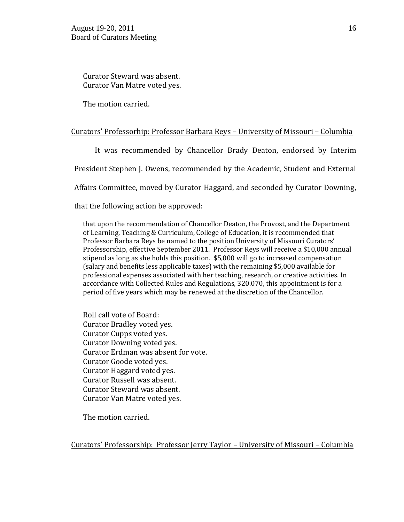Curator Steward was absent. Curator Van Matre voted yes.

The motion carried.

### Curators' Professorhip: Professor Barbara Reys – University of Missouri – Columbia

It was recommended by Chancellor Brady Deaton, endorsed by Interim

President Stephen J. Owens, recommended by the Academic, Student and External

Affairs Committee, moved by Curator Haggard, and seconded by Curator Downing,

### that the following action be approved:

that upon the recommendation of Chancellor Deaton, the Provost, and the Department of Learning, Teaching & Curriculum, College of Education, it is recommended that Professor Barbara Reys be named to the position University of Missouri Curators' Professorship, effective September 2011. Professor Reys will receive a \$10,000 annual stipend as long as she holds this position. \$5,000 will go to increased compensation (salary and benefits less applicable taxes) with the remaining \$5,000 available for professional expenses associated with her teaching, research, or creative activities. In accordance with Collected Rules and Regulations, 320.070, this appointment is for a period of five years which may be renewed at the discretion of the Chancellor.

Roll call vote of Board: Curator Bradley voted yes. Curator Cupps voted yes. Curator Downing voted yes. Curator Erdman was absent for vote. Curator Goode voted yes. Curator Haggard voted yes. Curator Russell was absent. Curator Steward was absent. Curator Van Matre voted yes.

The motion carried.

Curators' Professorship: Professor Jerry Taylor – University of Missouri – Columbia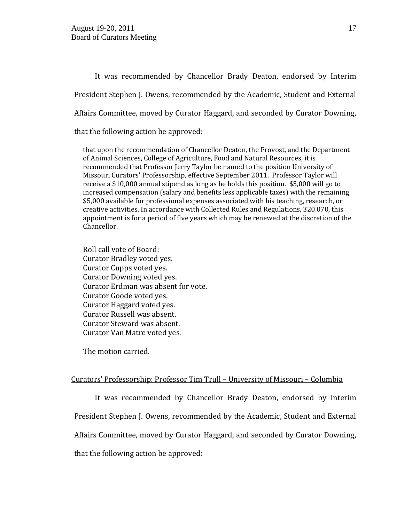It was recommended by Chancellor Brady Deaton, endorsed by Interim President Stephen J. Owens, recommended by the Academic, Student and External Affairs Committee, moved by Curator Haggard, and seconded by Curator Downing,

that the following action be approved:

that upon the recommendation of Chancellor Deaton, the Provost, and the Department of Animal Sciences, College of Agriculture, Food and Natural Resources, it is recommended that Professor Jerry Taylor be named to the position University of Missouri Curators' Professorship, effective September 2011. Professor Taylor will receive a \$10,000 annual stipend as long as he holds this position. \$5,000 will go to increased compensation (salary and benefits less applicable taxes) with the remaining \$5,000 available for professional expenses associated with his teaching, research, or creative activities. In accordance with Collected Rules and Regulations, 320.070, this appointment is for a period of five years which may be renewed at the discretion of the Chancellor.

Roll call vote of Board: Curator Bradley voted yes. Curator Cupps voted yes. Curator Downing voted yes. Curator Erdman was absent for vote. Curator Goode voted yes. Curator Haggard voted yes. Curator Russell was absent. Curator Steward was absent. Curator Van Matre voted yes.

The motion carried.

## Curators' Professorship: Professor Tim Trull – University of Missouri – Columbia

It was recommended by Chancellor Brady Deaton, endorsed by Interim President Stephen J. Owens, recommended by the Academic, Student and External Affairs Committee, moved by Curator Haggard, and seconded by Curator Downing,

that the following action be approved: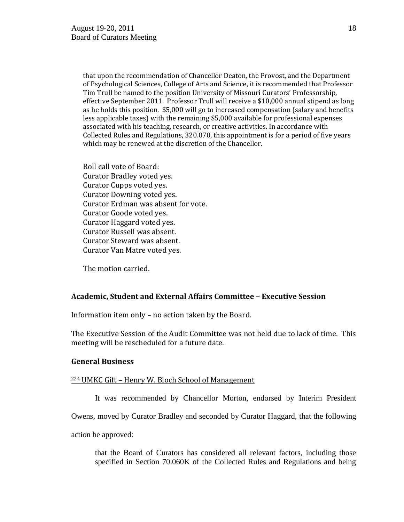that upon the recommendation of Chancellor Deaton, the Provost, and the Department of Psychological Sciences, College of Arts and Science, it is recommended that Professor Tim Trull be named to the position University of Missouri Curators' Professorship, effective September 2011. Professor Trull will receive a \$10,000 annual stipend as long as he holds this position. \$5,000 will go to increased compensation (salary and benefits less applicable taxes) with the remaining \$5,000 available for professional expenses associated with his teaching, research, or creative activities. In accordance with Collected Rules and Regulations, 320.070, this appointment is for a period of five years which may be renewed at the discretion of the Chancellor.

Roll call vote of Board: Curator Bradley voted yes. Curator Cupps voted yes. Curator Downing voted yes. Curator Erdman was absent for vote. Curator Goode voted yes. Curator Haggard voted yes. Curator Russell was absent. Curator Steward was absent. Curator Van Matre voted yes.

The motion carried.

## **Academic, Student and External Affairs Committee – Executive Session**

Information item only – no action taken by the Board.

The Executive Session of the Audit Committee was not held due to lack of time. This meeting will be rescheduled for a future date.

### **General Business**

### <sup>224</sup> UMKC Gift – Henry W. Bloch School of Management

It was recommended by Chancellor Morton, endorsed by Interim President

Owens, moved by Curator Bradley and seconded by Curator Haggard, that the following

action be approved:

that the Board of Curators has considered all relevant factors, including those specified in Section 70.060K of the Collected Rules and Regulations and being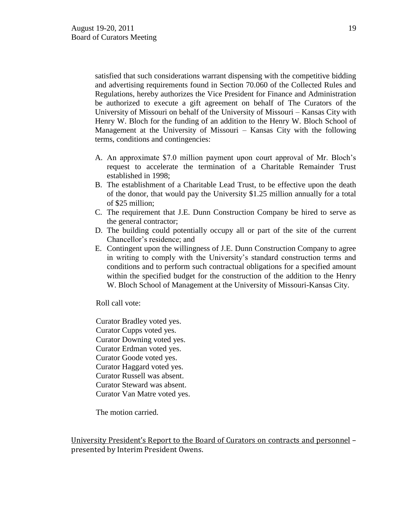satisfied that such considerations warrant dispensing with the competitive bidding and advertising requirements found in Section 70.060 of the Collected Rules and Regulations, hereby authorizes the Vice President for Finance and Administration be authorized to execute a gift agreement on behalf of The Curators of the University of Missouri on behalf of the University of Missouri – Kansas City with Henry W. Bloch for the funding of an addition to the Henry W. Bloch School of Management at the University of Missouri – Kansas City with the following terms, conditions and contingencies:

- A. An approximate \$7.0 million payment upon court approval of Mr. Bloch"s request to accelerate the termination of a Charitable Remainder Trust established in 1998;
- B. The establishment of a Charitable Lead Trust, to be effective upon the death of the donor, that would pay the University \$1.25 million annually for a total of \$25 million;
- C. The requirement that J.E. Dunn Construction Company be hired to serve as the general contractor;
- D. The building could potentially occupy all or part of the site of the current Chancellor"s residence; and
- E. Contingent upon the willingness of J.E. Dunn Construction Company to agree in writing to comply with the University"s standard construction terms and conditions and to perform such contractual obligations for a specified amount within the specified budget for the construction of the addition to the Henry W. Bloch School of Management at the University of Missouri-Kansas City.

Roll call vote:

Curator Bradley voted yes. Curator Cupps voted yes. Curator Downing voted yes. Curator Erdman voted yes. Curator Goode voted yes. Curator Haggard voted yes. Curator Russell was absent. Curator Steward was absent. Curator Van Matre voted yes.

The motion carried.

University President's Report to the Board of Curators on contracts and personnel – presented by Interim President Owens.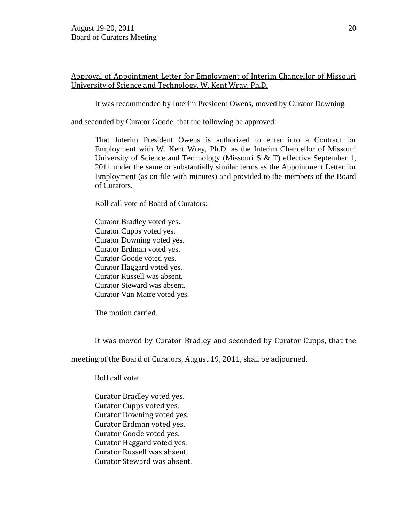# Approval of Appointment Letter for Employment of Interim Chancellor of Missouri University of Science and Technology, W. Kent Wray, Ph.D.

It was recommended by Interim President Owens, moved by Curator Downing

and seconded by Curator Goode, that the following be approved:

That Interim President Owens is authorized to enter into a Contract for Employment with W. Kent Wray, Ph.D. as the Interim Chancellor of Missouri University of Science and Technology (Missouri S & T) effective September 1, 2011 under the same or substantially similar terms as the Appointment Letter for Employment (as on file with minutes) and provided to the members of the Board of Curators.

Roll call vote of Board of Curators:

Curator Bradley voted yes. Curator Cupps voted yes. Curator Downing voted yes. Curator Erdman voted yes. Curator Goode voted yes. Curator Haggard voted yes. Curator Russell was absent. Curator Steward was absent. Curator Van Matre voted yes.

The motion carried.

It was moved by Curator Bradley and seconded by Curator Cupps, that the

meeting of the Board of Curators, August 19, 2011, shall be adjourned.

Roll call vote:

Curator Bradley voted yes. Curator Cupps voted yes. Curator Downing voted yes. Curator Erdman voted yes. Curator Goode voted yes. Curator Haggard voted yes. Curator Russell was absent. Curator Steward was absent.